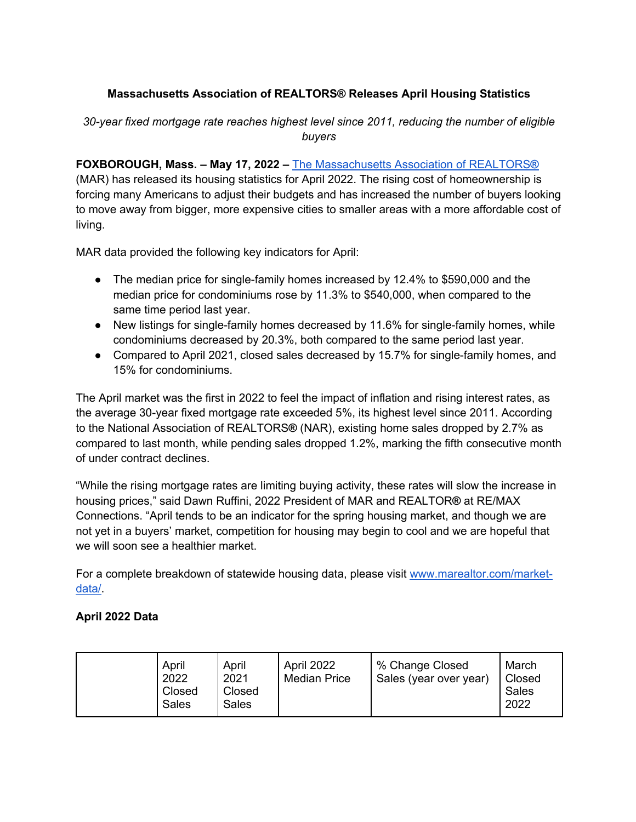## **Massachusetts Association of REALTORS® Releases April Housing Statistics**

*30-year fixed mortgage rate reaches highest level since 2011, reducing the number of eligible buyers*

**FOXBOROUGH, Mass. – May 17, 2022 –** The Massachusetts Association of REALTORS**®** (MAR) has released its housing statistics for April 2022. The rising cost of homeownership is forcing many Americans to adjust their budgets and has increased the number of buyers looking to move away from bigger, more expensive cities to smaller areas with a more affordable cost of living.

MAR data provided the following key indicators for April:

- The median price for single-family homes increased by 12.4% to \$590,000 and the median price for condominiums rose by 11.3% to \$540,000, when compared to the same time period last year.
- New listings for single-family homes decreased by 11.6% for single-family homes, while condominiums decreased by 20.3%, both compared to the same period last year.
- Compared to April 2021, closed sales decreased by 15.7% for single-family homes, and 15% for condominiums.

The April market was the first in 2022 to feel the impact of inflation and rising interest rates, as the average 30-year fixed mortgage rate exceeded 5%, its highest level since 2011. According to the National Association of REALTORS**®** (NAR), existing home sales dropped by 2.7% as compared to last month, while pending sales dropped 1.2%, marking the fifth consecutive month of under contract declines.

"While the rising mortgage rates are limiting buying activity, these rates will slow the increase in housing prices," said Dawn Ruffini, 2022 President of MAR and REALTOR**®** at RE/MAX Connections. "April tends to be an indicator for the spring housing market, and though we are not yet in a buyers' market, competition for housing may begin to cool and we are hopeful that we will soon see a healthier market.

For a complete breakdown of statewide housing data, please visit www.marealtor.com/marketdata/.

## **April 2022 Data**

| April<br>2022<br>Closed<br>Sales | April<br>2021<br>Closed<br>Sales | April 2022<br><b>Median Price</b> | % Change Closed<br>Sales (year over year) | March<br>Closed<br>Sales<br>2022 |
|----------------------------------|----------------------------------|-----------------------------------|-------------------------------------------|----------------------------------|
|----------------------------------|----------------------------------|-----------------------------------|-------------------------------------------|----------------------------------|